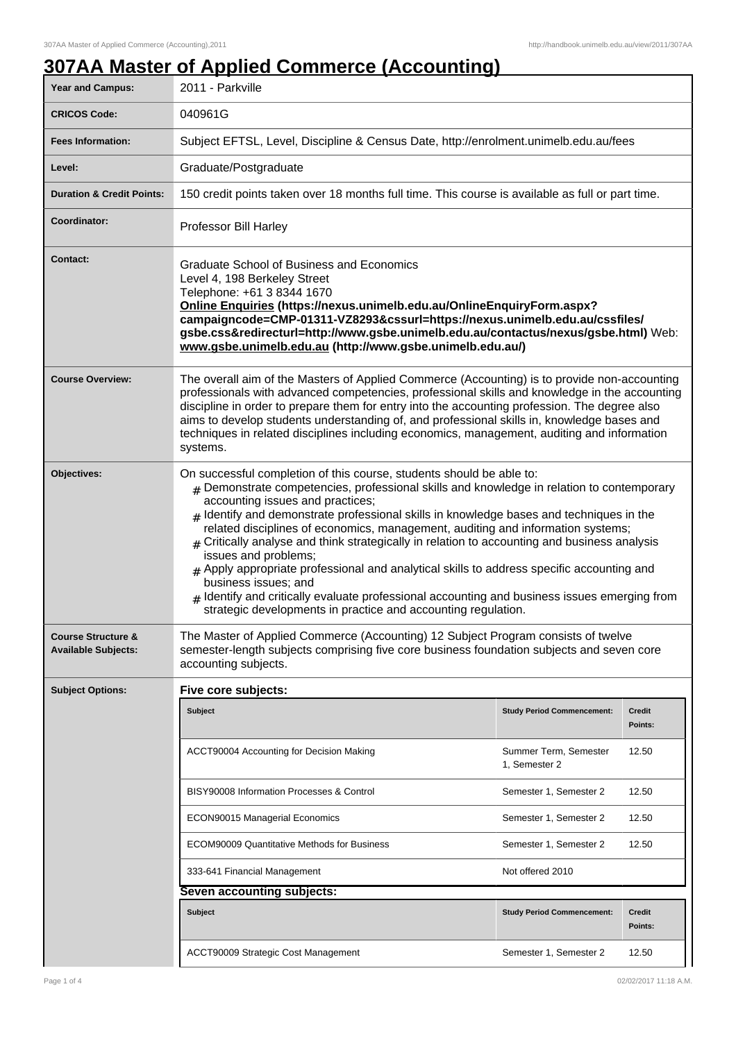## **307AA Master of Applied Commerce (Accounting)**

| <b>Year and Campus:</b>                                     | ,,,,,,,,,,,,<br>2011 - Parkville                                                                                                                                                                                                                                                                                                                                                                                                                                                                                                                                                                                                                                                                                                                                                                            |                                        |                          |  |
|-------------------------------------------------------------|-------------------------------------------------------------------------------------------------------------------------------------------------------------------------------------------------------------------------------------------------------------------------------------------------------------------------------------------------------------------------------------------------------------------------------------------------------------------------------------------------------------------------------------------------------------------------------------------------------------------------------------------------------------------------------------------------------------------------------------------------------------------------------------------------------------|----------------------------------------|--------------------------|--|
| <b>CRICOS Code:</b>                                         | 040961G                                                                                                                                                                                                                                                                                                                                                                                                                                                                                                                                                                                                                                                                                                                                                                                                     |                                        |                          |  |
| <b>Fees Information:</b>                                    | Subject EFTSL, Level, Discipline & Census Date, http://enrolment.unimelb.edu.au/fees                                                                                                                                                                                                                                                                                                                                                                                                                                                                                                                                                                                                                                                                                                                        |                                        |                          |  |
| Level:                                                      | Graduate/Postgraduate                                                                                                                                                                                                                                                                                                                                                                                                                                                                                                                                                                                                                                                                                                                                                                                       |                                        |                          |  |
| <b>Duration &amp; Credit Points:</b>                        | 150 credit points taken over 18 months full time. This course is available as full or part time.                                                                                                                                                                                                                                                                                                                                                                                                                                                                                                                                                                                                                                                                                                            |                                        |                          |  |
| Coordinator:                                                | Professor Bill Harley                                                                                                                                                                                                                                                                                                                                                                                                                                                                                                                                                                                                                                                                                                                                                                                       |                                        |                          |  |
| <b>Contact:</b>                                             | <b>Graduate School of Business and Economics</b><br>Level 4, 198 Berkeley Street<br>Telephone: +61 3 8344 1670<br>Online Enquiries (https://nexus.unimelb.edu.au/OnlineEnquiryForm.aspx?<br>campaigncode=CMP-01311-VZ8293&cssurl=https://nexus.unimelb.edu.au/cssfiles/<br>gsbe.css&redirecturl=http://www.gsbe.unimelb.edu.au/contactus/nexus/gsbe.html) Web:<br>www.gsbe.unimelb.edu.au (http://www.gsbe.unimelb.edu.au/)                                                                                                                                                                                                                                                                                                                                                                                 |                                        |                          |  |
| <b>Course Overview:</b>                                     | The overall aim of the Masters of Applied Commerce (Accounting) is to provide non-accounting<br>professionals with advanced competencies, professional skills and knowledge in the accounting<br>discipline in order to prepare them for entry into the accounting profession. The degree also<br>aims to develop students understanding of, and professional skills in, knowledge bases and<br>techniques in related disciplines including economics, management, auditing and information<br>systems.                                                                                                                                                                                                                                                                                                     |                                        |                          |  |
| Objectives:                                                 | On successful completion of this course, students should be able to:<br>$#$ Demonstrate competencies, professional skills and knowledge in relation to contemporary<br>accounting issues and practices;<br>$_{\#}$ Identify and demonstrate professional skills in knowledge bases and techniques in the<br>related disciplines of economics, management, auditing and information systems;<br>$#$ Critically analyse and think strategically in relation to accounting and business analysis<br>issues and problems;<br>$#$ Apply appropriate professional and analytical skills to address specific accounting and<br>business issues; and<br>Identify and critically evaluate professional accounting and business issues emerging from<br>strategic developments in practice and accounting regulation. |                                        |                          |  |
| <b>Course Structure &amp;</b><br><b>Available Subjects:</b> | The Master of Applied Commerce (Accounting) 12 Subject Program consists of twelve<br>semester-length subjects comprising five core business foundation subjects and seven core<br>accounting subjects.                                                                                                                                                                                                                                                                                                                                                                                                                                                                                                                                                                                                      |                                        |                          |  |
| <b>Subject Options:</b>                                     | Five core subjects:                                                                                                                                                                                                                                                                                                                                                                                                                                                                                                                                                                                                                                                                                                                                                                                         |                                        |                          |  |
|                                                             | <b>Subject</b>                                                                                                                                                                                                                                                                                                                                                                                                                                                                                                                                                                                                                                                                                                                                                                                              | <b>Study Period Commencement:</b>      | Credit<br>Points:        |  |
|                                                             | ACCT90004 Accounting for Decision Making                                                                                                                                                                                                                                                                                                                                                                                                                                                                                                                                                                                                                                                                                                                                                                    | Summer Term, Semester<br>1, Semester 2 | 12.50                    |  |
|                                                             | BISY90008 Information Processes & Control                                                                                                                                                                                                                                                                                                                                                                                                                                                                                                                                                                                                                                                                                                                                                                   | Semester 1, Semester 2                 | 12.50                    |  |
|                                                             | ECON90015 Managerial Economics                                                                                                                                                                                                                                                                                                                                                                                                                                                                                                                                                                                                                                                                                                                                                                              | Semester 1, Semester 2                 | 12.50                    |  |
|                                                             | <b>ECOM90009 Quantitative Methods for Business</b>                                                                                                                                                                                                                                                                                                                                                                                                                                                                                                                                                                                                                                                                                                                                                          | Semester 1, Semester 2                 | 12.50                    |  |
|                                                             | 333-641 Financial Management                                                                                                                                                                                                                                                                                                                                                                                                                                                                                                                                                                                                                                                                                                                                                                                | Not offered 2010                       |                          |  |
|                                                             | Seven accounting subjects:                                                                                                                                                                                                                                                                                                                                                                                                                                                                                                                                                                                                                                                                                                                                                                                  |                                        |                          |  |
|                                                             | <b>Subject</b>                                                                                                                                                                                                                                                                                                                                                                                                                                                                                                                                                                                                                                                                                                                                                                                              | <b>Study Period Commencement:</b>      | <b>Credit</b><br>Points: |  |
|                                                             | ACCT90009 Strategic Cost Management                                                                                                                                                                                                                                                                                                                                                                                                                                                                                                                                                                                                                                                                                                                                                                         | Semester 1, Semester 2                 | 12.50                    |  |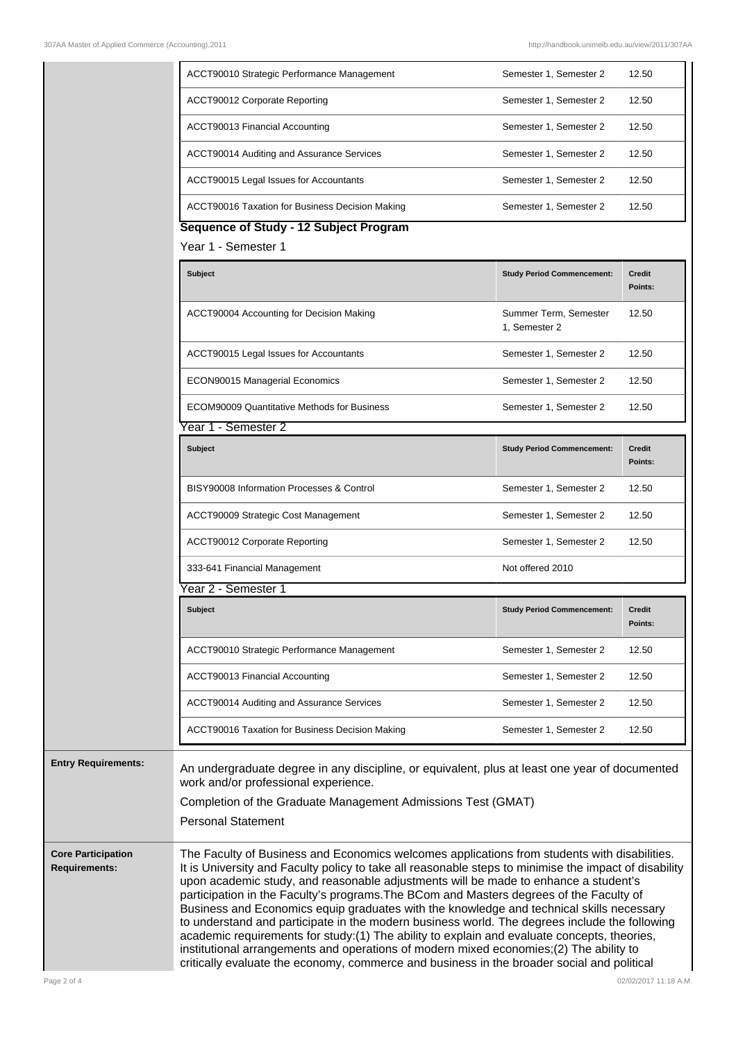|                                                   | ACCT90010 Strategic Performance Management                                                                                                                                                                                                                                                                                                                                                                                                                                                                                                                                                                                                                                                                                                                                                                                                                                   | Semester 1, Semester 2                 | 12.50                    |
|---------------------------------------------------|------------------------------------------------------------------------------------------------------------------------------------------------------------------------------------------------------------------------------------------------------------------------------------------------------------------------------------------------------------------------------------------------------------------------------------------------------------------------------------------------------------------------------------------------------------------------------------------------------------------------------------------------------------------------------------------------------------------------------------------------------------------------------------------------------------------------------------------------------------------------------|----------------------------------------|--------------------------|
|                                                   | ACCT90012 Corporate Reporting                                                                                                                                                                                                                                                                                                                                                                                                                                                                                                                                                                                                                                                                                                                                                                                                                                                | Semester 1, Semester 2                 | 12.50                    |
|                                                   | ACCT90013 Financial Accounting                                                                                                                                                                                                                                                                                                                                                                                                                                                                                                                                                                                                                                                                                                                                                                                                                                               | Semester 1, Semester 2                 | 12.50                    |
|                                                   | ACCT90014 Auditing and Assurance Services                                                                                                                                                                                                                                                                                                                                                                                                                                                                                                                                                                                                                                                                                                                                                                                                                                    | Semester 1, Semester 2                 | 12.50                    |
|                                                   | ACCT90015 Legal Issues for Accountants                                                                                                                                                                                                                                                                                                                                                                                                                                                                                                                                                                                                                                                                                                                                                                                                                                       | Semester 1, Semester 2                 | 12.50                    |
|                                                   | ACCT90016 Taxation for Business Decision Making                                                                                                                                                                                                                                                                                                                                                                                                                                                                                                                                                                                                                                                                                                                                                                                                                              | Semester 1, Semester 2                 | 12.50                    |
|                                                   | Sequence of Study - 12 Subject Program<br>Year 1 - Semester 1                                                                                                                                                                                                                                                                                                                                                                                                                                                                                                                                                                                                                                                                                                                                                                                                                |                                        |                          |
|                                                   |                                                                                                                                                                                                                                                                                                                                                                                                                                                                                                                                                                                                                                                                                                                                                                                                                                                                              |                                        |                          |
|                                                   | <b>Subject</b>                                                                                                                                                                                                                                                                                                                                                                                                                                                                                                                                                                                                                                                                                                                                                                                                                                                               | <b>Study Period Commencement:</b>      | <b>Credit</b><br>Points: |
|                                                   | ACCT90004 Accounting for Decision Making                                                                                                                                                                                                                                                                                                                                                                                                                                                                                                                                                                                                                                                                                                                                                                                                                                     | Summer Term, Semester<br>1, Semester 2 | 12.50                    |
|                                                   | ACCT90015 Legal Issues for Accountants                                                                                                                                                                                                                                                                                                                                                                                                                                                                                                                                                                                                                                                                                                                                                                                                                                       | Semester 1, Semester 2                 | 12.50                    |
|                                                   | ECON90015 Managerial Economics                                                                                                                                                                                                                                                                                                                                                                                                                                                                                                                                                                                                                                                                                                                                                                                                                                               | Semester 1, Semester 2                 | 12.50                    |
|                                                   | <b>ECOM90009 Quantitative Methods for Business</b>                                                                                                                                                                                                                                                                                                                                                                                                                                                                                                                                                                                                                                                                                                                                                                                                                           | Semester 1, Semester 2                 | 12.50                    |
|                                                   | Year 1 - Semester 2                                                                                                                                                                                                                                                                                                                                                                                                                                                                                                                                                                                                                                                                                                                                                                                                                                                          |                                        |                          |
|                                                   | <b>Subject</b>                                                                                                                                                                                                                                                                                                                                                                                                                                                                                                                                                                                                                                                                                                                                                                                                                                                               | <b>Study Period Commencement:</b>      | <b>Credit</b><br>Points: |
|                                                   | BISY90008 Information Processes & Control                                                                                                                                                                                                                                                                                                                                                                                                                                                                                                                                                                                                                                                                                                                                                                                                                                    | Semester 1, Semester 2                 | 12.50                    |
|                                                   | ACCT90009 Strategic Cost Management                                                                                                                                                                                                                                                                                                                                                                                                                                                                                                                                                                                                                                                                                                                                                                                                                                          | Semester 1, Semester 2                 | 12.50                    |
|                                                   | ACCT90012 Corporate Reporting                                                                                                                                                                                                                                                                                                                                                                                                                                                                                                                                                                                                                                                                                                                                                                                                                                                | Semester 1, Semester 2                 | 12.50                    |
|                                                   | 333-641 Financial Management                                                                                                                                                                                                                                                                                                                                                                                                                                                                                                                                                                                                                                                                                                                                                                                                                                                 | Not offered 2010                       |                          |
|                                                   | Year 2 - Semester 1                                                                                                                                                                                                                                                                                                                                                                                                                                                                                                                                                                                                                                                                                                                                                                                                                                                          |                                        |                          |
|                                                   | <b>Subject</b>                                                                                                                                                                                                                                                                                                                                                                                                                                                                                                                                                                                                                                                                                                                                                                                                                                                               | <b>Study Period Commencement:</b>      | Credit<br>Points:        |
|                                                   | ACCT90010 Strategic Performance Management                                                                                                                                                                                                                                                                                                                                                                                                                                                                                                                                                                                                                                                                                                                                                                                                                                   | Semester 1, Semester 2                 | 12.50                    |
|                                                   | ACCT90013 Financial Accounting                                                                                                                                                                                                                                                                                                                                                                                                                                                                                                                                                                                                                                                                                                                                                                                                                                               | Semester 1, Semester 2                 | 12.50                    |
|                                                   | ACCT90014 Auditing and Assurance Services                                                                                                                                                                                                                                                                                                                                                                                                                                                                                                                                                                                                                                                                                                                                                                                                                                    | Semester 1, Semester 2                 | 12.50                    |
|                                                   | ACCT90016 Taxation for Business Decision Making                                                                                                                                                                                                                                                                                                                                                                                                                                                                                                                                                                                                                                                                                                                                                                                                                              | Semester 1, Semester 2                 | 12.50                    |
| <b>Entry Requirements:</b>                        | An undergraduate degree in any discipline, or equivalent, plus at least one year of documented<br>work and/or professional experience.<br>Completion of the Graduate Management Admissions Test (GMAT)<br><b>Personal Statement</b>                                                                                                                                                                                                                                                                                                                                                                                                                                                                                                                                                                                                                                          |                                        |                          |
| <b>Core Participation</b><br><b>Requirements:</b> | The Faculty of Business and Economics welcomes applications from students with disabilities.<br>It is University and Faculty policy to take all reasonable steps to minimise the impact of disability<br>upon academic study, and reasonable adjustments will be made to enhance a student's<br>participation in the Faculty's programs. The BCom and Masters degrees of the Faculty of<br>Business and Economics equip graduates with the knowledge and technical skills necessary<br>to understand and participate in the modern business world. The degrees include the following<br>academic requirements for study: (1) The ability to explain and evaluate concepts, theories,<br>institutional arrangements and operations of modern mixed economies;(2) The ability to<br>critically evaluate the economy, commerce and business in the broader social and political |                                        |                          |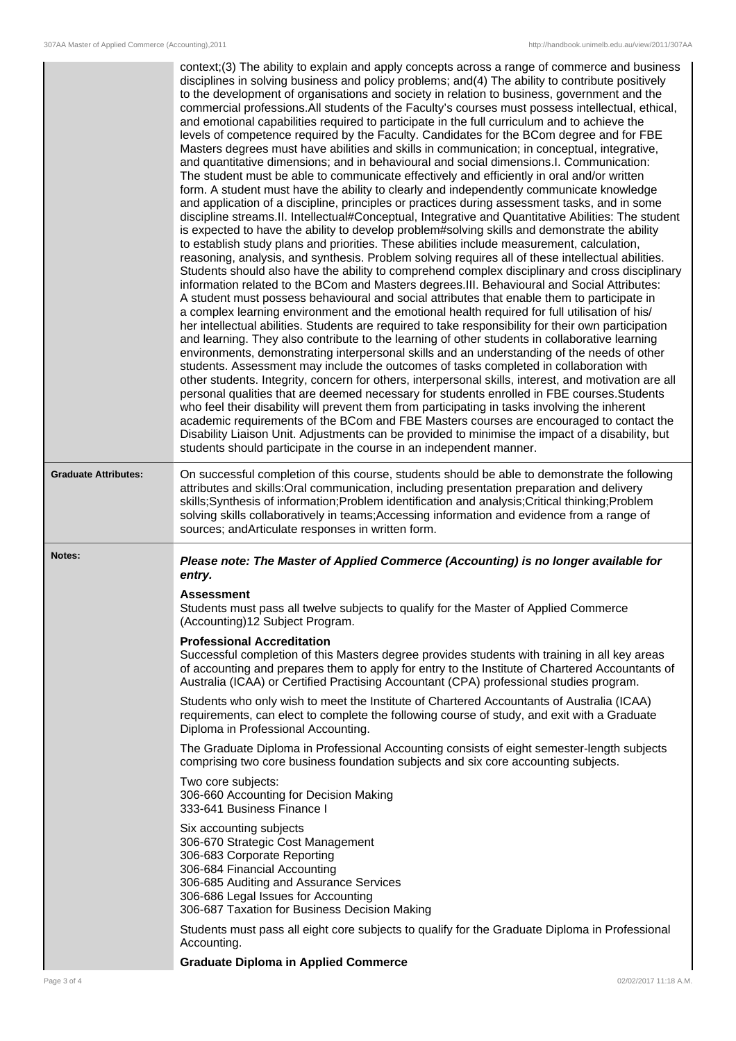|                             | context;(3) The ability to explain and apply concepts across a range of commerce and business<br>disciplines in solving business and policy problems; and(4) The ability to contribute positively<br>to the development of organisations and society in relation to business, government and the<br>commercial professions. All students of the Faculty's courses must possess intellectual, ethical,<br>and emotional capabilities required to participate in the full curriculum and to achieve the<br>levels of competence required by the Faculty. Candidates for the BCom degree and for FBE<br>Masters degrees must have abilities and skills in communication; in conceptual, integrative,<br>and quantitative dimensions; and in behavioural and social dimensions.I. Communication:<br>The student must be able to communicate effectively and efficiently in oral and/or written<br>form. A student must have the ability to clearly and independently communicate knowledge<br>and application of a discipline, principles or practices during assessment tasks, and in some<br>discipline streams. II. Intellectual#Conceptual, Integrative and Quantitative Abilities: The student<br>is expected to have the ability to develop problem#solving skills and demonstrate the ability<br>to establish study plans and priorities. These abilities include measurement, calculation,<br>reasoning, analysis, and synthesis. Problem solving requires all of these intellectual abilities.<br>Students should also have the ability to comprehend complex disciplinary and cross disciplinary<br>information related to the BCom and Masters degrees. III. Behavioural and Social Attributes:<br>A student must possess behavioural and social attributes that enable them to participate in<br>a complex learning environment and the emotional health required for full utilisation of his/<br>her intellectual abilities. Students are required to take responsibility for their own participation<br>and learning. They also contribute to the learning of other students in collaborative learning<br>environments, demonstrating interpersonal skills and an understanding of the needs of other<br>students. Assessment may include the outcomes of tasks completed in collaboration with<br>other students. Integrity, concern for others, interpersonal skills, interest, and motivation are all<br>personal qualities that are deemed necessary for students enrolled in FBE courses. Students<br>who feel their disability will prevent them from participating in tasks involving the inherent<br>academic requirements of the BCom and FBE Masters courses are encouraged to contact the<br>Disability Liaison Unit. Adjustments can be provided to minimise the impact of a disability, but<br>students should participate in the course in an independent manner. |
|-----------------------------|-------------------------------------------------------------------------------------------------------------------------------------------------------------------------------------------------------------------------------------------------------------------------------------------------------------------------------------------------------------------------------------------------------------------------------------------------------------------------------------------------------------------------------------------------------------------------------------------------------------------------------------------------------------------------------------------------------------------------------------------------------------------------------------------------------------------------------------------------------------------------------------------------------------------------------------------------------------------------------------------------------------------------------------------------------------------------------------------------------------------------------------------------------------------------------------------------------------------------------------------------------------------------------------------------------------------------------------------------------------------------------------------------------------------------------------------------------------------------------------------------------------------------------------------------------------------------------------------------------------------------------------------------------------------------------------------------------------------------------------------------------------------------------------------------------------------------------------------------------------------------------------------------------------------------------------------------------------------------------------------------------------------------------------------------------------------------------------------------------------------------------------------------------------------------------------------------------------------------------------------------------------------------------------------------------------------------------------------------------------------------------------------------------------------------------------------------------------------------------------------------------------------------------------------------------------------------------------------------------------------------------------------------------------------------------------------------------------------------------------------------------------------------------------------------------------------------------------------------------------------------------------------|
| <b>Graduate Attributes:</b> | On successful completion of this course, students should be able to demonstrate the following<br>attributes and skills: Oral communication, including presentation preparation and delivery<br>skills;Synthesis of information;Problem identification and analysis;Critical thinking;Problem<br>solving skills collaboratively in teams; Accessing information and evidence from a range of<br>sources; and Articulate responses in written form.                                                                                                                                                                                                                                                                                                                                                                                                                                                                                                                                                                                                                                                                                                                                                                                                                                                                                                                                                                                                                                                                                                                                                                                                                                                                                                                                                                                                                                                                                                                                                                                                                                                                                                                                                                                                                                                                                                                                                                                                                                                                                                                                                                                                                                                                                                                                                                                                                                         |
| Notes:                      | Please note: The Master of Applied Commerce (Accounting) is no longer available for<br>entry.                                                                                                                                                                                                                                                                                                                                                                                                                                                                                                                                                                                                                                                                                                                                                                                                                                                                                                                                                                                                                                                                                                                                                                                                                                                                                                                                                                                                                                                                                                                                                                                                                                                                                                                                                                                                                                                                                                                                                                                                                                                                                                                                                                                                                                                                                                                                                                                                                                                                                                                                                                                                                                                                                                                                                                                             |
|                             | <b>Assessment</b><br>Students must pass all twelve subjects to qualify for the Master of Applied Commerce<br>(Accounting)12 Subject Program.                                                                                                                                                                                                                                                                                                                                                                                                                                                                                                                                                                                                                                                                                                                                                                                                                                                                                                                                                                                                                                                                                                                                                                                                                                                                                                                                                                                                                                                                                                                                                                                                                                                                                                                                                                                                                                                                                                                                                                                                                                                                                                                                                                                                                                                                                                                                                                                                                                                                                                                                                                                                                                                                                                                                              |
|                             | <b>Professional Accreditation</b><br>Successful completion of this Masters degree provides students with training in all key areas<br>of accounting and prepares them to apply for entry to the Institute of Chartered Accountants of<br>Australia (ICAA) or Certified Practising Accountant (CPA) professional studies program.                                                                                                                                                                                                                                                                                                                                                                                                                                                                                                                                                                                                                                                                                                                                                                                                                                                                                                                                                                                                                                                                                                                                                                                                                                                                                                                                                                                                                                                                                                                                                                                                                                                                                                                                                                                                                                                                                                                                                                                                                                                                                                                                                                                                                                                                                                                                                                                                                                                                                                                                                          |
|                             | Students who only wish to meet the Institute of Chartered Accountants of Australia (ICAA)<br>requirements, can elect to complete the following course of study, and exit with a Graduate<br>Diploma in Professional Accounting.                                                                                                                                                                                                                                                                                                                                                                                                                                                                                                                                                                                                                                                                                                                                                                                                                                                                                                                                                                                                                                                                                                                                                                                                                                                                                                                                                                                                                                                                                                                                                                                                                                                                                                                                                                                                                                                                                                                                                                                                                                                                                                                                                                                                                                                                                                                                                                                                                                                                                                                                                                                                                                                           |
|                             | The Graduate Diploma in Professional Accounting consists of eight semester-length subjects<br>comprising two core business foundation subjects and six core accounting subjects.                                                                                                                                                                                                                                                                                                                                                                                                                                                                                                                                                                                                                                                                                                                                                                                                                                                                                                                                                                                                                                                                                                                                                                                                                                                                                                                                                                                                                                                                                                                                                                                                                                                                                                                                                                                                                                                                                                                                                                                                                                                                                                                                                                                                                                                                                                                                                                                                                                                                                                                                                                                                                                                                                                          |
|                             | Two core subjects:<br>306-660 Accounting for Decision Making<br>333-641 Business Finance I                                                                                                                                                                                                                                                                                                                                                                                                                                                                                                                                                                                                                                                                                                                                                                                                                                                                                                                                                                                                                                                                                                                                                                                                                                                                                                                                                                                                                                                                                                                                                                                                                                                                                                                                                                                                                                                                                                                                                                                                                                                                                                                                                                                                                                                                                                                                                                                                                                                                                                                                                                                                                                                                                                                                                                                                |
|                             | Six accounting subjects<br>306-670 Strategic Cost Management<br>306-683 Corporate Reporting<br>306-684 Financial Accounting<br>306-685 Auditing and Assurance Services<br>306-686 Legal Issues for Accounting<br>306-687 Taxation for Business Decision Making                                                                                                                                                                                                                                                                                                                                                                                                                                                                                                                                                                                                                                                                                                                                                                                                                                                                                                                                                                                                                                                                                                                                                                                                                                                                                                                                                                                                                                                                                                                                                                                                                                                                                                                                                                                                                                                                                                                                                                                                                                                                                                                                                                                                                                                                                                                                                                                                                                                                                                                                                                                                                            |
|                             | Students must pass all eight core subjects to qualify for the Graduate Diploma in Professional<br>Accounting.                                                                                                                                                                                                                                                                                                                                                                                                                                                                                                                                                                                                                                                                                                                                                                                                                                                                                                                                                                                                                                                                                                                                                                                                                                                                                                                                                                                                                                                                                                                                                                                                                                                                                                                                                                                                                                                                                                                                                                                                                                                                                                                                                                                                                                                                                                                                                                                                                                                                                                                                                                                                                                                                                                                                                                             |
|                             | <b>Graduate Diploma in Applied Commerce</b>                                                                                                                                                                                                                                                                                                                                                                                                                                                                                                                                                                                                                                                                                                                                                                                                                                                                                                                                                                                                                                                                                                                                                                                                                                                                                                                                                                                                                                                                                                                                                                                                                                                                                                                                                                                                                                                                                                                                                                                                                                                                                                                                                                                                                                                                                                                                                                                                                                                                                                                                                                                                                                                                                                                                                                                                                                               |